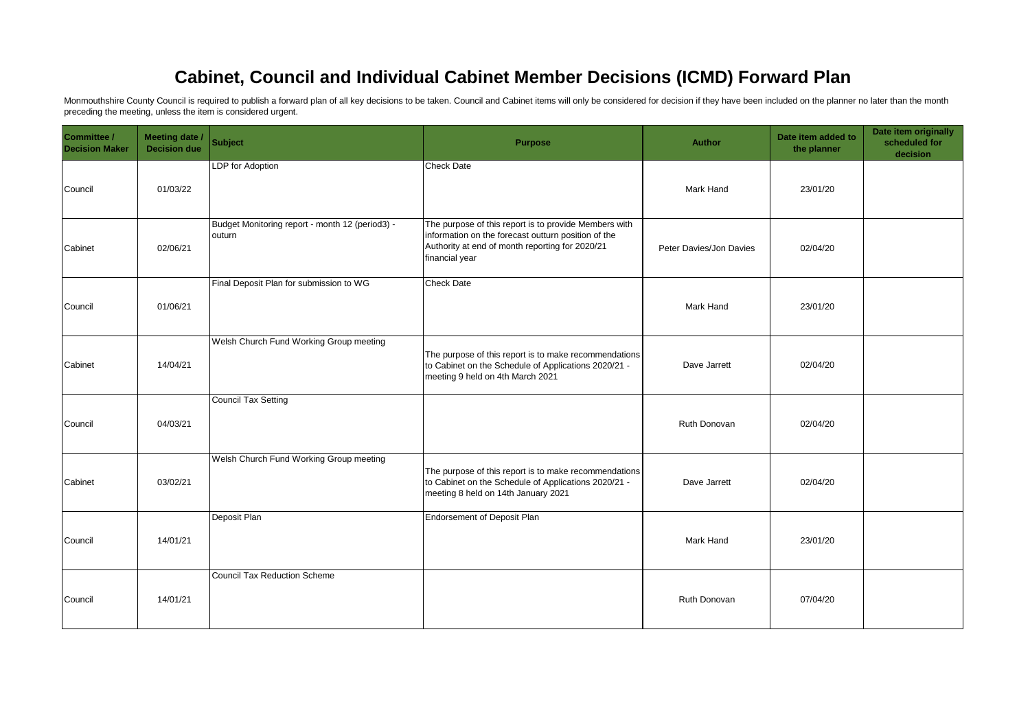## **Cabinet, Council and Individual Cabinet Member Decisions (ICMD) Forward Plan**

Monmouthshire County Council is required to publish a forward plan of all key decisions to be taken. Council and Cabinet items will only be considered for decision if they have been included on the planner no later than th preceding the meeting, unless the item is considered urgent.

| Committee /<br><b>Decision Maker</b> | Meeting date /<br><b>Decision due</b> | <b>Subject</b>                                            | <b>Purpose</b>                                                                                                                                                                    | Author                  | Date item added to<br>the planner | Date item originally<br>scheduled for<br>decision |
|--------------------------------------|---------------------------------------|-----------------------------------------------------------|-----------------------------------------------------------------------------------------------------------------------------------------------------------------------------------|-------------------------|-----------------------------------|---------------------------------------------------|
| Council                              | 01/03/22                              | LDP for Adoption                                          | <b>Check Date</b>                                                                                                                                                                 | Mark Hand               | 23/01/20                          |                                                   |
| Cabinet                              | 02/06/21                              | Budget Monitoring report - month 12 (period3) -<br>outurn | The purpose of this report is to provide Members with<br>information on the forecast outturn position of the<br>Authority at end of month reporting for 2020/21<br>financial year | Peter Davies/Jon Davies | 02/04/20                          |                                                   |
| Council                              | 01/06/21                              | Final Deposit Plan for submission to WG                   | <b>Check Date</b>                                                                                                                                                                 | Mark Hand               | 23/01/20                          |                                                   |
| Cabinet                              | 14/04/21                              | Welsh Church Fund Working Group meeting                   | The purpose of this report is to make recommendations<br>to Cabinet on the Schedule of Applications 2020/21 -<br>meeting 9 held on 4th March 2021                                 | Dave Jarrett            | 02/04/20                          |                                                   |
| Council                              | 04/03/21                              | <b>Council Tax Setting</b>                                |                                                                                                                                                                                   | Ruth Donovan            | 02/04/20                          |                                                   |
| Cabinet                              | 03/02/21                              | Welsh Church Fund Working Group meeting                   | The purpose of this report is to make recommendations<br>to Cabinet on the Schedule of Applications 2020/21 -<br>meeting 8 held on 14th January 2021                              | Dave Jarrett            | 02/04/20                          |                                                   |
| Council                              | 14/01/21                              | Deposit Plan                                              | Endorsement of Deposit Plan                                                                                                                                                       | Mark Hand               | 23/01/20                          |                                                   |
| Council                              | 14/01/21                              | <b>Council Tax Reduction Scheme</b>                       |                                                                                                                                                                                   | Ruth Donovan            | 07/04/20                          |                                                   |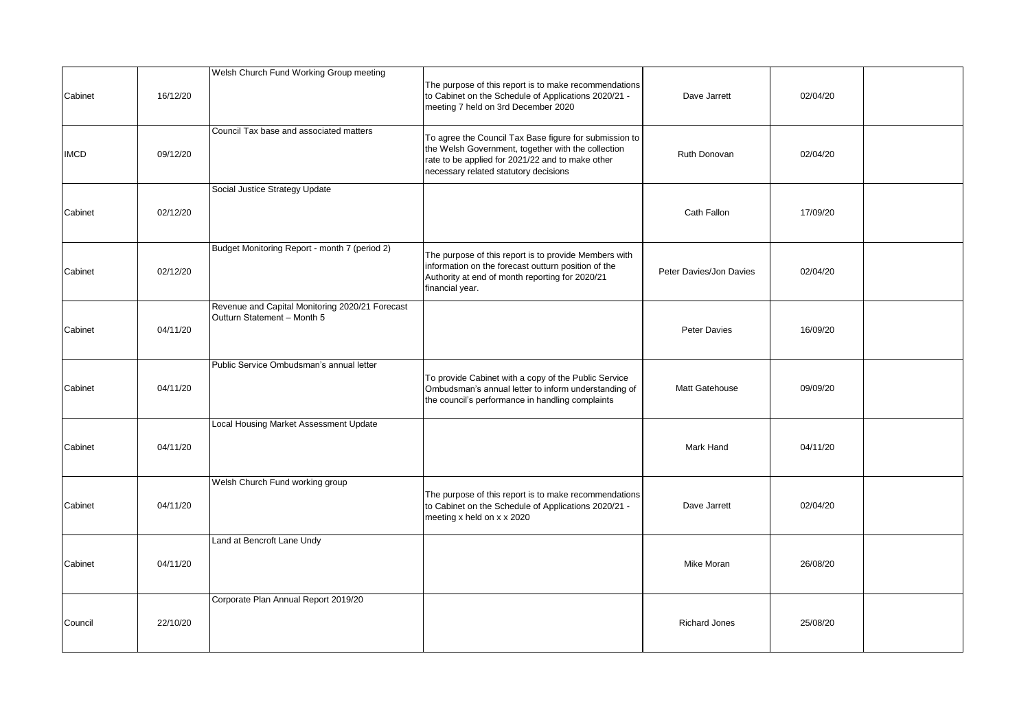| Cabinet     | 16/12/20 | Welsh Church Fund Working Group meeting                                        | The purpose of this report is to make recommendations<br>to Cabinet on the Schedule of Applications 2020/21 -<br>meeting 7 held on 3rd December 2020                                                      | Dave Jarrett            | 02/04/20 |  |
|-------------|----------|--------------------------------------------------------------------------------|-----------------------------------------------------------------------------------------------------------------------------------------------------------------------------------------------------------|-------------------------|----------|--|
| <b>IMCD</b> | 09/12/20 | Council Tax base and associated matters                                        | To agree the Council Tax Base figure for submission to<br>the Welsh Government, together with the collection<br>rate to be applied for 2021/22 and to make other<br>necessary related statutory decisions | Ruth Donovan            | 02/04/20 |  |
| Cabinet     | 02/12/20 | Social Justice Strategy Update                                                 |                                                                                                                                                                                                           | Cath Fallon             | 17/09/20 |  |
| Cabinet     | 02/12/20 | Budget Monitoring Report - month 7 (period 2)                                  | The purpose of this report is to provide Members with<br>information on the forecast outturn position of the<br>Authority at end of month reporting for 2020/21<br>financial year.                        | Peter Davies/Jon Davies | 02/04/20 |  |
| Cabinet     | 04/11/20 | Revenue and Capital Monitoring 2020/21 Forecast<br>Outturn Statement - Month 5 |                                                                                                                                                                                                           | <b>Peter Davies</b>     | 16/09/20 |  |
| Cabinet     | 04/11/20 | Public Service Ombudsman's annual letter                                       | To provide Cabinet with a copy of the Public Service<br>Ombudsman's annual letter to inform understanding of<br>the council's performance in handling complaints                                          | Matt Gatehouse          | 09/09/20 |  |
| Cabinet     | 04/11/20 | Local Housing Market Assessment Update                                         |                                                                                                                                                                                                           | Mark Hand               | 04/11/20 |  |
| Cabinet     | 04/11/20 | Welsh Church Fund working group                                                | The purpose of this report is to make recommendations<br>to Cabinet on the Schedule of Applications 2020/21 -<br>meeting x held on x x 2020                                                               | Dave Jarrett            | 02/04/20 |  |
| Cabinet     | 04/11/20 | Land at Bencroft Lane Undy                                                     |                                                                                                                                                                                                           | Mike Moran              | 26/08/20 |  |
| Council     | 22/10/20 | Corporate Plan Annual Report 2019/20                                           |                                                                                                                                                                                                           | <b>Richard Jones</b>    | 25/08/20 |  |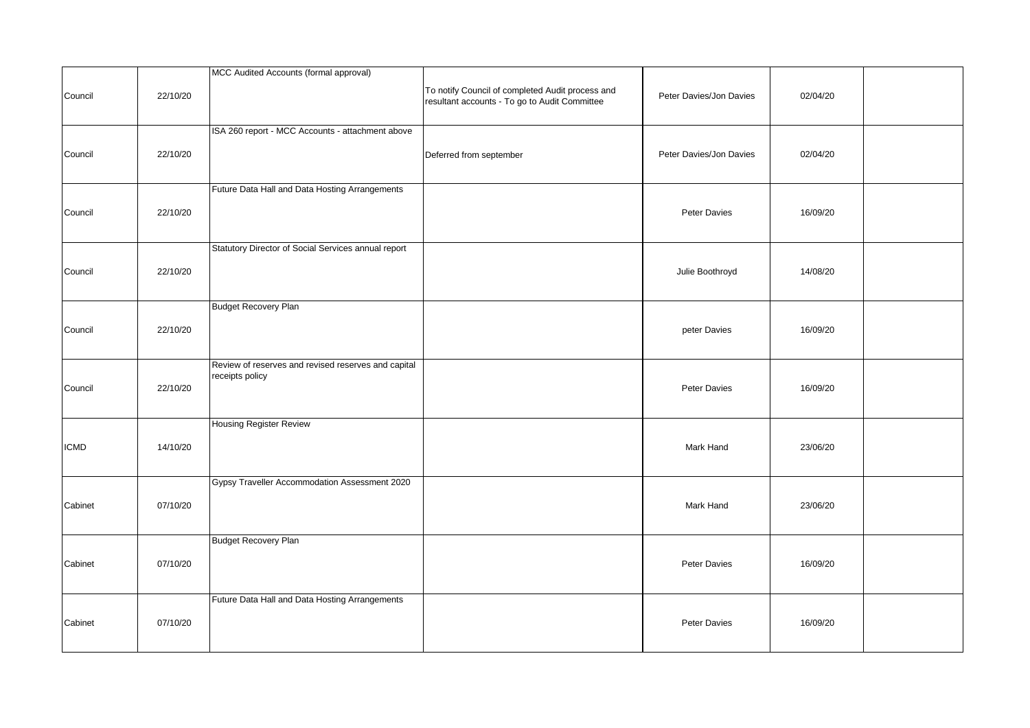| Council     | 22/10/20 | MCC Audited Accounts (formal approval)                                 | To notify Council of completed Audit process and<br>resultant accounts - To go to Audit Committee | Peter Davies/Jon Davies | 02/04/20 |  |
|-------------|----------|------------------------------------------------------------------------|---------------------------------------------------------------------------------------------------|-------------------------|----------|--|
| Council     | 22/10/20 | ISA 260 report - MCC Accounts - attachment above                       | Deferred from september                                                                           | Peter Davies/Jon Davies | 02/04/20 |  |
| Council     | 22/10/20 | Future Data Hall and Data Hosting Arrangements                         |                                                                                                   | Peter Davies            | 16/09/20 |  |
| Council     | 22/10/20 | Statutory Director of Social Services annual report                    |                                                                                                   | Julie Boothroyd         | 14/08/20 |  |
| Council     | 22/10/20 | <b>Budget Recovery Plan</b>                                            |                                                                                                   | peter Davies            | 16/09/20 |  |
| Council     | 22/10/20 | Review of reserves and revised reserves and capital<br>receipts policy |                                                                                                   | Peter Davies            | 16/09/20 |  |
| <b>ICMD</b> | 14/10/20 | <b>Housing Register Review</b>                                         |                                                                                                   | Mark Hand               | 23/06/20 |  |
| Cabinet     | 07/10/20 | Gypsy Traveller Accommodation Assessment 2020                          |                                                                                                   | Mark Hand               | 23/06/20 |  |
| Cabinet     | 07/10/20 | <b>Budget Recovery Plan</b>                                            |                                                                                                   | Peter Davies            | 16/09/20 |  |
| Cabinet     | 07/10/20 | Future Data Hall and Data Hosting Arrangements                         |                                                                                                   | Peter Davies            | 16/09/20 |  |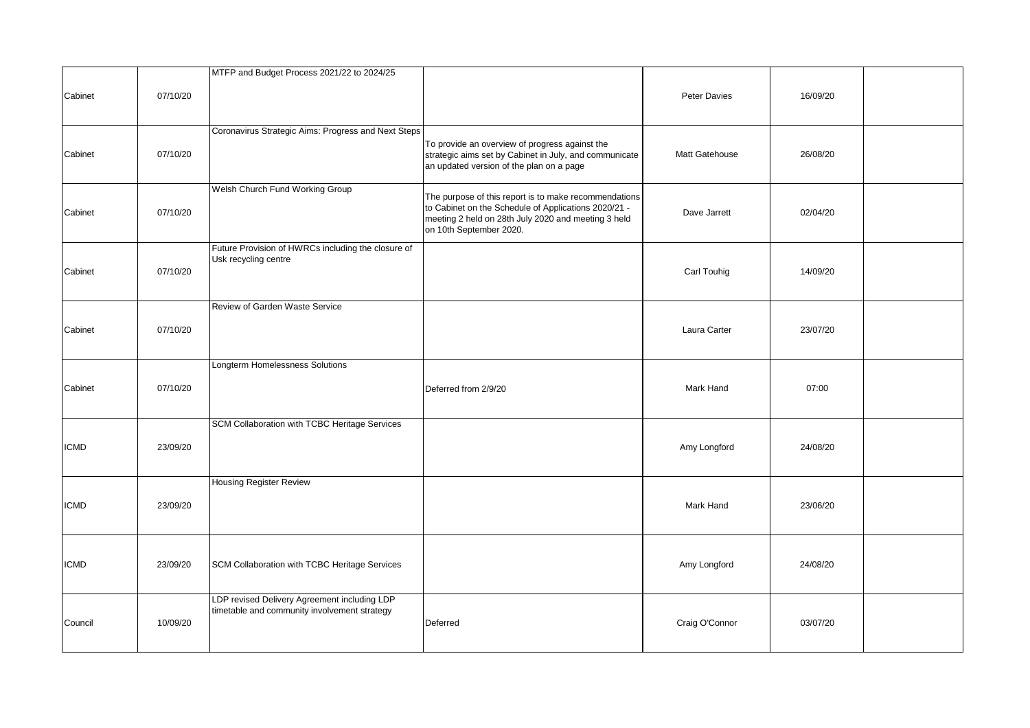|         |          | MTFP and Budget Process 2021/22 to 2024/25                                                   |                                                                                                                                                                                                 |                |          |  |
|---------|----------|----------------------------------------------------------------------------------------------|-------------------------------------------------------------------------------------------------------------------------------------------------------------------------------------------------|----------------|----------|--|
| Cabinet | 07/10/20 |                                                                                              |                                                                                                                                                                                                 | Peter Davies   | 16/09/20 |  |
| Cabinet | 07/10/20 | Coronavirus Strategic Aims: Progress and Next Steps                                          | To provide an overview of progress against the<br>strategic aims set by Cabinet in July, and communicate<br>an updated version of the plan on a page                                            | Matt Gatehouse | 26/08/20 |  |
| Cabinet | 07/10/20 | Welsh Church Fund Working Group                                                              | The purpose of this report is to make recommendations<br>to Cabinet on the Schedule of Applications 2020/21 -<br>meeting 2 held on 28th July 2020 and meeting 3 held<br>on 10th September 2020. | Dave Jarrett   | 02/04/20 |  |
| Cabinet | 07/10/20 | Future Provision of HWRCs including the closure of<br>Usk recycling centre                   |                                                                                                                                                                                                 | Carl Touhig    | 14/09/20 |  |
| Cabinet | 07/10/20 | Review of Garden Waste Service                                                               |                                                                                                                                                                                                 | Laura Carter   | 23/07/20 |  |
| Cabinet | 07/10/20 | Longterm Homelessness Solutions                                                              | Deferred from 2/9/20                                                                                                                                                                            | Mark Hand      | 07:00    |  |
| ICMD    | 23/09/20 | SCM Collaboration with TCBC Heritage Services                                                |                                                                                                                                                                                                 | Amy Longford   | 24/08/20 |  |
| ICMD    | 23/09/20 | <b>Housing Register Review</b>                                                               |                                                                                                                                                                                                 | Mark Hand      | 23/06/20 |  |
| ICMD    | 23/09/20 | SCM Collaboration with TCBC Heritage Services                                                |                                                                                                                                                                                                 | Amy Longford   | 24/08/20 |  |
| Council | 10/09/20 | LDP revised Delivery Agreement including LDP<br>timetable and community involvement strategy | Deferred                                                                                                                                                                                        | Craig O'Connor | 03/07/20 |  |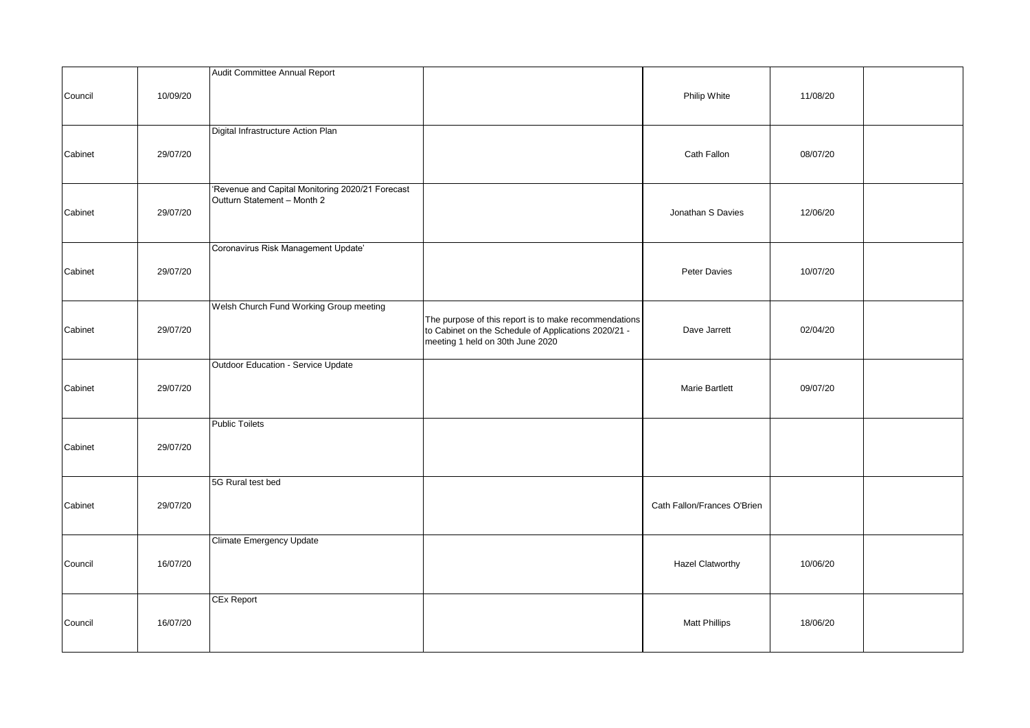|         |          | Audit Committee Annual Report                                                   |                                                                                                                                                   |                             |          |  |
|---------|----------|---------------------------------------------------------------------------------|---------------------------------------------------------------------------------------------------------------------------------------------------|-----------------------------|----------|--|
| Council | 10/09/20 |                                                                                 |                                                                                                                                                   | Philip White                | 11/08/20 |  |
| Cabinet | 29/07/20 | Digital Infrastructure Action Plan                                              |                                                                                                                                                   | Cath Fallon                 | 08/07/20 |  |
| Cabinet | 29/07/20 | 'Revenue and Capital Monitoring 2020/21 Forecast<br>Outturn Statement - Month 2 |                                                                                                                                                   | Jonathan S Davies           | 12/06/20 |  |
| Cabinet | 29/07/20 | Coronavirus Risk Management Update'                                             |                                                                                                                                                   | Peter Davies                | 10/07/20 |  |
| Cabinet | 29/07/20 | Welsh Church Fund Working Group meeting                                         | The purpose of this report is to make recommendations<br>to Cabinet on the Schedule of Applications 2020/21 -<br>meeting 1 held on 30th June 2020 | Dave Jarrett                | 02/04/20 |  |
| Cabinet | 29/07/20 | Outdoor Education - Service Update                                              |                                                                                                                                                   | <b>Marie Bartlett</b>       | 09/07/20 |  |
| Cabinet | 29/07/20 | <b>Public Toilets</b>                                                           |                                                                                                                                                   |                             |          |  |
| Cabinet | 29/07/20 | 5G Rural test bed                                                               |                                                                                                                                                   | Cath Fallon/Frances O'Brien |          |  |
| Council | 16/07/20 | Climate Emergency Update                                                        |                                                                                                                                                   | <b>Hazel Clatworthy</b>     | 10/06/20 |  |
| Council | 16/07/20 | <b>CEx Report</b>                                                               |                                                                                                                                                   | <b>Matt Phillips</b>        | 18/06/20 |  |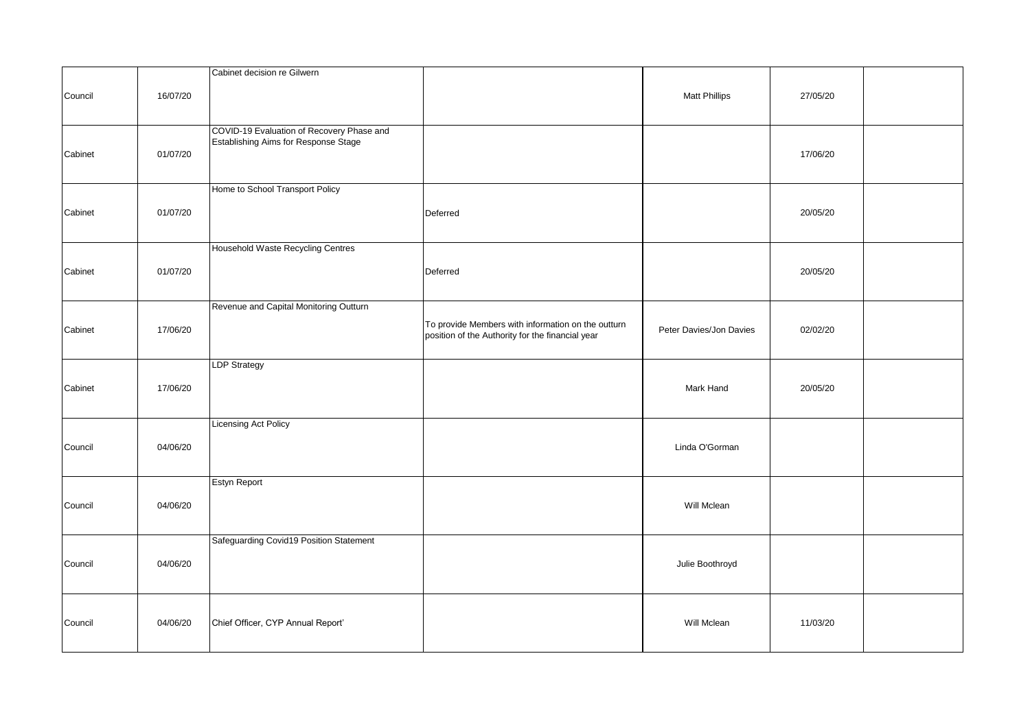|         |          | Cabinet decision re Gilwern                                                       |                                                                                                        |                         |          |  |
|---------|----------|-----------------------------------------------------------------------------------|--------------------------------------------------------------------------------------------------------|-------------------------|----------|--|
| Council | 16/07/20 |                                                                                   |                                                                                                        | <b>Matt Phillips</b>    | 27/05/20 |  |
| Cabinet | 01/07/20 | COVID-19 Evaluation of Recovery Phase and<br>Establishing Aims for Response Stage |                                                                                                        |                         | 17/06/20 |  |
| Cabinet | 01/07/20 | Home to School Transport Policy                                                   | Deferred                                                                                               |                         | 20/05/20 |  |
| Cabinet | 01/07/20 | Household Waste Recycling Centres                                                 | Deferred                                                                                               |                         | 20/05/20 |  |
| Cabinet | 17/06/20 | Revenue and Capital Monitoring Outturn                                            | To provide Members with information on the outturn<br>position of the Authority for the financial year | Peter Davies/Jon Davies | 02/02/20 |  |
| Cabinet | 17/06/20 | <b>LDP Strategy</b>                                                               |                                                                                                        | Mark Hand               | 20/05/20 |  |
| Council | 04/06/20 | <b>Licensing Act Policy</b>                                                       |                                                                                                        | Linda O'Gorman          |          |  |
| Council | 04/06/20 | Estyn Report                                                                      |                                                                                                        | Will Mclean             |          |  |
| Council | 04/06/20 | Safeguarding Covid19 Position Statement                                           |                                                                                                        | Julie Boothroyd         |          |  |
| Council | 04/06/20 | Chief Officer, CYP Annual Report'                                                 |                                                                                                        | Will Mclean             | 11/03/20 |  |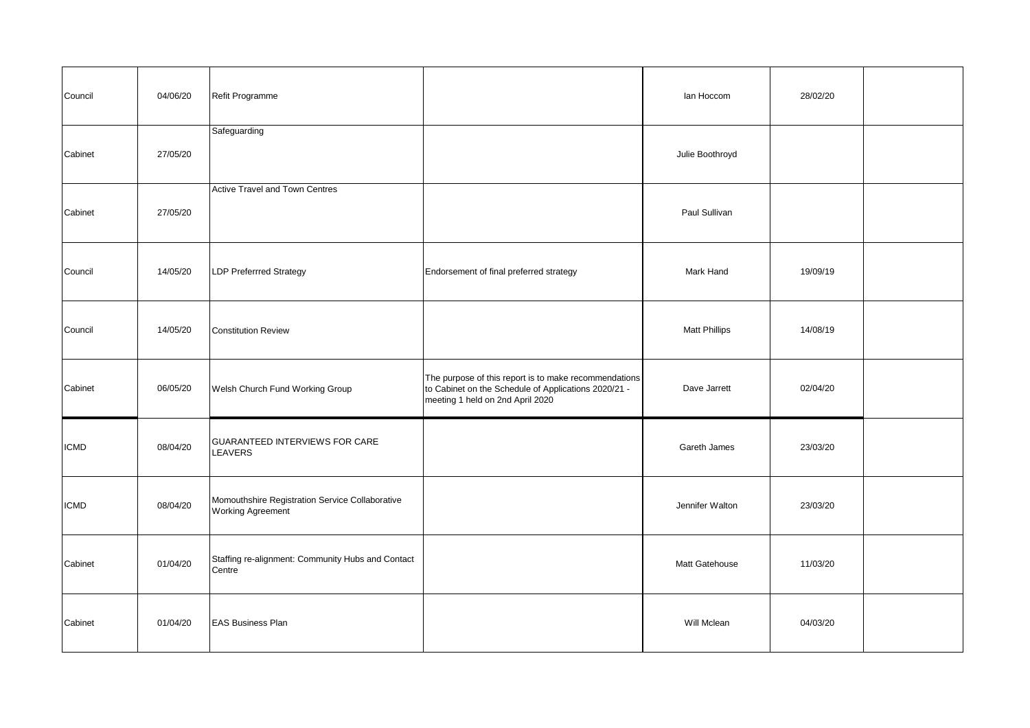| Council     | 04/06/20 | Refit Programme                                                             |                                                                                                                                                   | lan Hoccom           | 28/02/20 |  |
|-------------|----------|-----------------------------------------------------------------------------|---------------------------------------------------------------------------------------------------------------------------------------------------|----------------------|----------|--|
| Cabinet     | 27/05/20 | Safeguarding                                                                |                                                                                                                                                   | Julie Boothroyd      |          |  |
| Cabinet     | 27/05/20 | <b>Active Travel and Town Centres</b>                                       |                                                                                                                                                   | Paul Sullivan        |          |  |
| Council     | 14/05/20 | <b>LDP Preferrred Strategy</b>                                              | Endorsement of final preferred strategy                                                                                                           | Mark Hand            | 19/09/19 |  |
| Council     | 14/05/20 | <b>Constitution Review</b>                                                  |                                                                                                                                                   | <b>Matt Phillips</b> | 14/08/19 |  |
| Cabinet     | 06/05/20 | Welsh Church Fund Working Group                                             | The purpose of this report is to make recommendations<br>to Cabinet on the Schedule of Applications 2020/21 -<br>meeting 1 held on 2nd April 2020 | Dave Jarrett         | 02/04/20 |  |
| <b>ICMD</b> | 08/04/20 | GUARANTEED INTERVIEWS FOR CARE<br>LEAVERS                                   |                                                                                                                                                   | Gareth James         | 23/03/20 |  |
| <b>ICMD</b> | 08/04/20 | Momouthshire Registration Service Collaborative<br><b>Working Agreement</b> |                                                                                                                                                   | Jennifer Walton      | 23/03/20 |  |
| Cabinet     | 01/04/20 | Staffing re-alignment: Community Hubs and Contact<br>Centre                 |                                                                                                                                                   | Matt Gatehouse       | 11/03/20 |  |
| Cabinet     | 01/04/20 | <b>EAS Business Plan</b>                                                    |                                                                                                                                                   | Will Mclean          | 04/03/20 |  |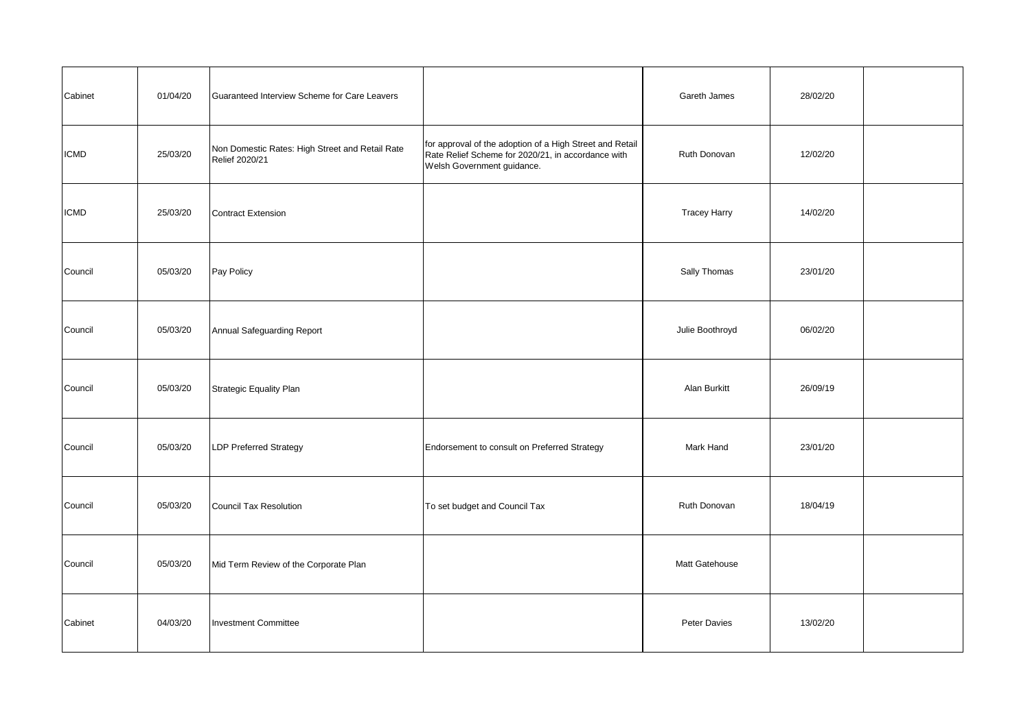| Cabinet     | 01/04/20 | Guaranteed Interview Scheme for Care Leavers                      |                                                                                                                                              | Gareth James        | 28/02/20 |  |
|-------------|----------|-------------------------------------------------------------------|----------------------------------------------------------------------------------------------------------------------------------------------|---------------------|----------|--|
| <b>ICMD</b> | 25/03/20 | Non Domestic Rates: High Street and Retail Rate<br>Relief 2020/21 | for approval of the adoption of a High Street and Retail<br>Rate Relief Scheme for 2020/21, in accordance with<br>Welsh Government guidance. | Ruth Donovan        | 12/02/20 |  |
| <b>ICMD</b> | 25/03/20 | <b>Contract Extension</b>                                         |                                                                                                                                              | <b>Tracey Harry</b> | 14/02/20 |  |
| Council     | 05/03/20 | Pay Policy                                                        |                                                                                                                                              | Sally Thomas        | 23/01/20 |  |
| Council     | 05/03/20 | Annual Safeguarding Report                                        |                                                                                                                                              | Julie Boothroyd     | 06/02/20 |  |
| Council     | 05/03/20 | Strategic Equality Plan                                           |                                                                                                                                              | Alan Burkitt        | 26/09/19 |  |
| Council     | 05/03/20 | <b>LDP Preferred Strategy</b>                                     | Endorsement to consult on Preferred Strategy                                                                                                 | Mark Hand           | 23/01/20 |  |
| Council     | 05/03/20 | Council Tax Resolution                                            | To set budget and Council Tax                                                                                                                | Ruth Donovan        | 18/04/19 |  |
| Council     | 05/03/20 | Mid Term Review of the Corporate Plan                             |                                                                                                                                              | Matt Gatehouse      |          |  |
| Cabinet     | 04/03/20 | <b>Investment Committee</b>                                       |                                                                                                                                              | Peter Davies        | 13/02/20 |  |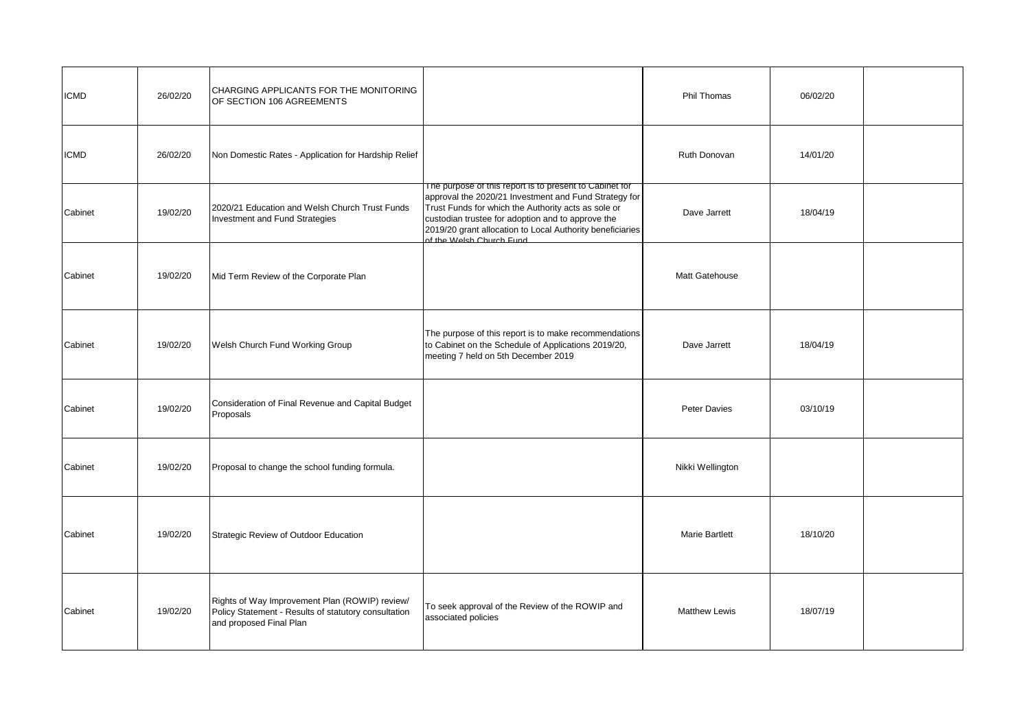| <b>ICMD</b> | 26/02/20 | CHARGING APPLICANTS FOR THE MONITORING<br>OF SECTION 106 AGREEMENTS                                                               |                                                                                                                                                                                                                                                                                                                       | Phil Thomas           | 06/02/20 |  |
|-------------|----------|-----------------------------------------------------------------------------------------------------------------------------------|-----------------------------------------------------------------------------------------------------------------------------------------------------------------------------------------------------------------------------------------------------------------------------------------------------------------------|-----------------------|----------|--|
| <b>ICMD</b> | 26/02/20 | Non Domestic Rates - Application for Hardship Relief                                                                              |                                                                                                                                                                                                                                                                                                                       | Ruth Donovan          | 14/01/20 |  |
| Cabinet     | 19/02/20 | 2020/21 Education and Welsh Church Trust Funds<br>Investment and Fund Strategies                                                  | The purpose of this report is to present to Cabinet for<br>approval the 2020/21 Investment and Fund Strategy for<br>Trust Funds for which the Authority acts as sole or<br>custodian trustee for adoption and to approve the<br>2019/20 grant allocation to Local Authority beneficiaries<br>of the Welsh Church Fund | Dave Jarrett          | 18/04/19 |  |
| Cabinet     | 19/02/20 | Mid Term Review of the Corporate Plan                                                                                             |                                                                                                                                                                                                                                                                                                                       | Matt Gatehouse        |          |  |
| Cabinet     | 19/02/20 | Welsh Church Fund Working Group                                                                                                   | The purpose of this report is to make recommendations<br>to Cabinet on the Schedule of Applications 2019/20,<br>meeting 7 held on 5th December 2019                                                                                                                                                                   | Dave Jarrett          | 18/04/19 |  |
| Cabinet     | 19/02/20 | Consideration of Final Revenue and Capital Budget<br>Proposals                                                                    |                                                                                                                                                                                                                                                                                                                       | Peter Davies          | 03/10/19 |  |
| Cabinet     | 19/02/20 | Proposal to change the school funding formula.                                                                                    |                                                                                                                                                                                                                                                                                                                       | Nikki Wellington      |          |  |
| Cabinet     | 19/02/20 | Strategic Review of Outdoor Education                                                                                             |                                                                                                                                                                                                                                                                                                                       | <b>Marie Bartlett</b> | 18/10/20 |  |
| Cabinet     | 19/02/20 | Rights of Way Improvement Plan (ROWIP) review/<br>Policy Statement - Results of statutory consultation<br>and proposed Final Plan | To seek approval of the Review of the ROWIP and<br>associated policies                                                                                                                                                                                                                                                | <b>Matthew Lewis</b>  | 18/07/19 |  |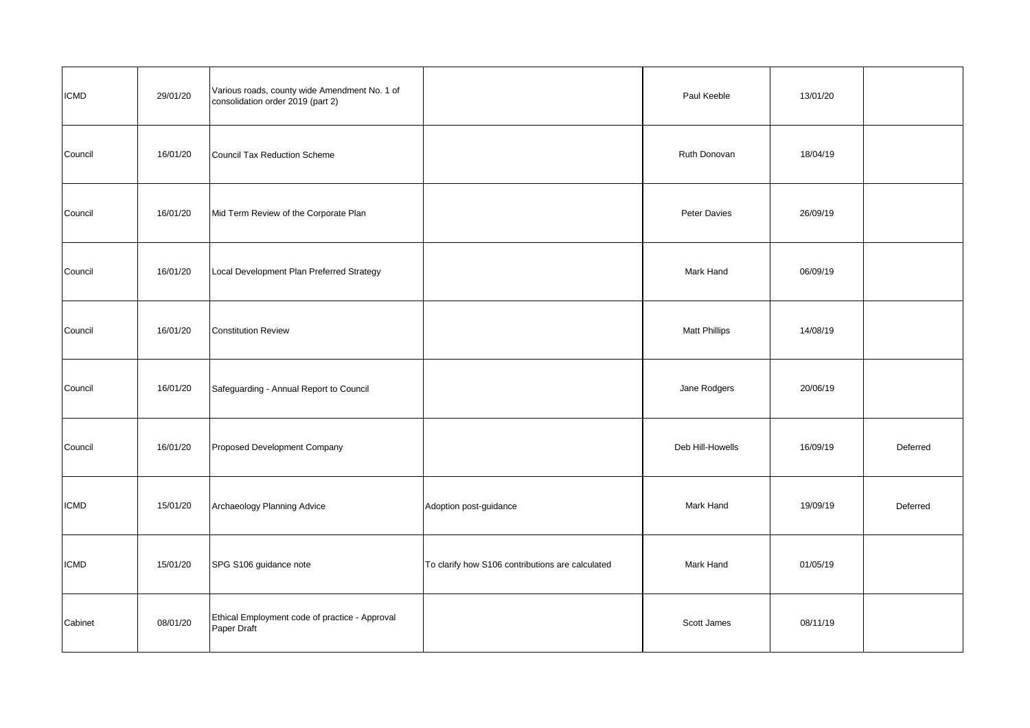| <b>ICMD</b> | 29/01/20 | Various roads, county wide Amendment No. 1 of<br>consolidation order 2019 (part 2) |                                                  | Paul Keeble          | 13/01/20 |          |
|-------------|----------|------------------------------------------------------------------------------------|--------------------------------------------------|----------------------|----------|----------|
| Council     | 16/01/20 | Council Tax Reduction Scheme                                                       |                                                  | Ruth Donovan         | 18/04/19 |          |
| Council     | 16/01/20 | Mid Term Review of the Corporate Plan                                              |                                                  | Peter Davies         | 26/09/19 |          |
| Council     | 16/01/20 | Local Development Plan Preferred Strategy                                          |                                                  | Mark Hand            | 06/09/19 |          |
| Council     | 16/01/20 | <b>Constitution Review</b>                                                         |                                                  | <b>Matt Phillips</b> | 14/08/19 |          |
| Council     | 16/01/20 | Safeguarding - Annual Report to Council                                            |                                                  | Jane Rodgers         | 20/06/19 |          |
| Council     | 16/01/20 | Proposed Development Company                                                       |                                                  | Deb Hill-Howells     | 16/09/19 | Deferred |
| <b>ICMD</b> | 15/01/20 | Archaeology Planning Advice                                                        | Adoption post-guidance                           | Mark Hand            | 19/09/19 | Deferred |
| <b>ICMD</b> | 15/01/20 | SPG S106 guidance note                                                             | To clarify how S106 contributions are calculated | Mark Hand            | 01/05/19 |          |
| Cabinet     | 08/01/20 | Ethical Employment code of practice - Approval<br>Paper Draft                      |                                                  | Scott James          | 08/11/19 |          |